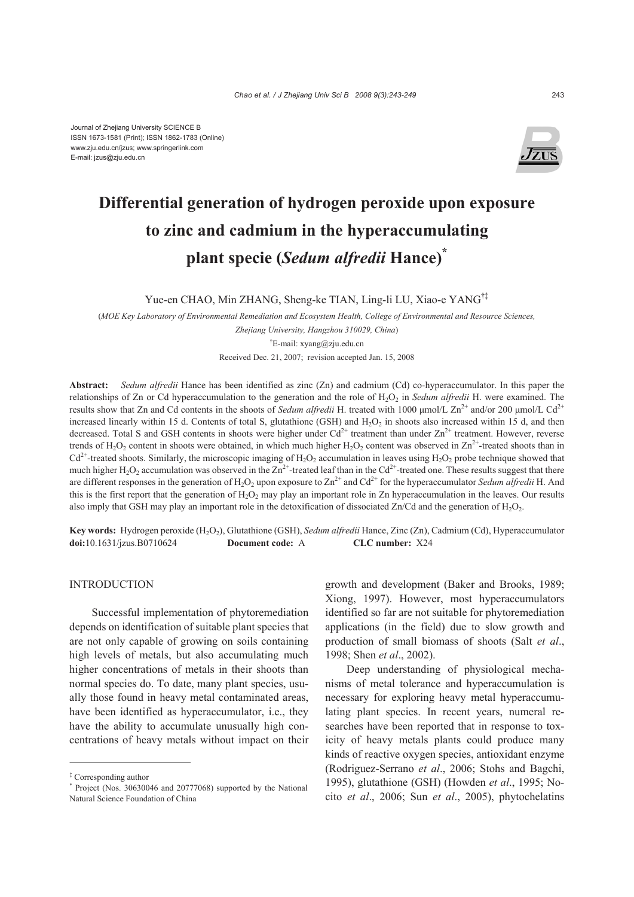

# **Differential generation of hydrogen peroxide upon exposure to zinc and cadmium in the hyperaccumulating plant specie (***Sedum alfredii* **Hance)\***

Yue-en CHAO, Min ZHANG, Sheng-ke TIAN, Ling-li LU, Xiao-e YANG†‡

(*MOE Key Laboratory of Environmental Remediation and Ecosystem Health, College of Environmental and Resource Sciences, Zhejiang University, Hangzhou 310029, China*) † E-mail: xyang@zju.edu.cn

Received Dec. 21, 2007; revision accepted Jan. 15, 2008

**Abstract:** *Sedum alfredii* Hance has been identified as zinc (Zn) and cadmium (Cd) co-hyperaccumulator. In this paper the relationships of Zn or Cd hyperaccumulation to the generation and the role of H<sub>2</sub>O<sub>2</sub> in *Sedum alfredii* H. were examined. The results show that Zn and Cd contents in the shoots of *Sedum alfredii* H. treated with 1000 μmol/L Zn<sup>2+</sup> and/or 200 μmol/L Cd<sup>2+</sup> increased linearly within 15 d. Contents of total S, glutathione (GSH) and  $H_2O_2$  in shoots also increased within 15 d, and then decreased. Total S and GSH contents in shoots were higher under  $Cd^{2+}$  treatment than under  $Zn^{2+}$  treatment. However, reverse trends of H<sub>2</sub>O<sub>2</sub> content in shoots were obtained, in which much higher H<sub>2</sub>O<sub>2</sub> content was observed in  $\text{Zn}^{2+}$ -treated shoots than in  $Cd<sup>2+</sup>$ -treated shoots. Similarly, the microscopic imaging of H<sub>2</sub>O<sub>2</sub> accumulation in leaves using H<sub>2</sub>O<sub>2</sub> probe technique showed that much higher H<sub>2</sub>O<sub>2</sub> accumulation was observed in the  $Zn^{2+}$ -treated leaf than in the Cd<sup>2+</sup>-treated one. These results suggest that there are different responses in the generation of  $H_2O_2$  upon exposure to  $Zn^{2+}$  and  $Cd^{2+}$  for the hyperaccumulator *Sedum alfredii* H. And this is the first report that the generation of  $H_2O_2$  may play an important role in Zn hyperaccumulation in the leaves. Our results also imply that GSH may play an important role in the detoxification of dissociated Zn/Cd and the generation of  $H_2O_2$ .

**Key words:** Hydrogen peroxide (H2O2), Glutathione (GSH), *Sedum alfredii* Hance, Zinc (Zn), Cadmium (Cd), Hyperaccumulator **doi:**10.1631/jzus.B0710624 **Document code:** A **CLC number:** X24

# **INTRODUCTION**

Successful implementation of phytoremediation depends on identification of suitable plant species that are not only capable of growing on soils containing high levels of metals, but also accumulating much higher concentrations of metals in their shoots than normal species do. To date, many plant species, usually those found in heavy metal contaminated areas, have been identified as hyperaccumulator, i.e., they have the ability to accumulate unusually high concentrations of heavy metals without impact on their

growth and development (Baker and Brooks, 1989; Xiong, 1997). However, most hyperaccumulators identified so far are not suitable for phytoremediation applications (in the field) due to slow growth and production of small biomass of shoots (Salt *et al*., 1998; Shen *et al*., 2002).

Deep understanding of physiological mechanisms of metal tolerance and hyperaccumulation is necessary for exploring heavy metal hyperaccumulating plant species. In recent years, numeral researches have been reported that in response to toxicity of heavy metals plants could produce many kinds of reactive oxygen species, antioxidant enzyme (Rodriguez-Serrano *et al*., 2006; Stohs and Bagchi, 1995), glutathione (GSH) (Howden *et al*., 1995; Nocito *et al*., 2006; Sun *et al*., 2005), phytochelatins

<sup>‡</sup> Corresponding author

<sup>\*</sup> Project (Nos. 30630046 and 20777068) supported by the National Natural Science Foundation of China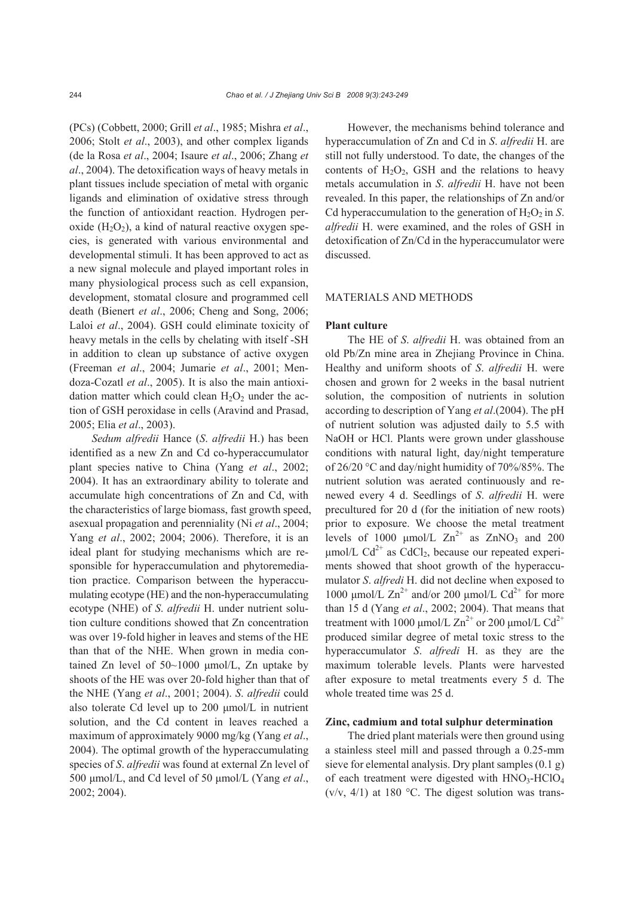(PCs) (Cobbett, 2000; Grill *et al*., 1985; Mishra *et al*., 2006; Stolt *et al*., 2003), and other complex ligands (de la Rosa *et al*., 2004; Isaure *et al*., 2006; Zhang *et al*., 2004). The detoxification ways of heavy metals in plant tissues include speciation of metal with organic ligands and elimination of oxidative stress through the function of antioxidant reaction. Hydrogen peroxide  $(H_2O_2)$ , a kind of natural reactive oxygen species, is generated with various environmental and developmental stimuli. It has been approved to act as a new signal molecule and played important roles in many physiological process such as cell expansion, development, stomatal closure and programmed cell death (Bienert *et al*., 2006; Cheng and Song, 2006; Laloi *et al*., 2004). GSH could eliminate toxicity of heavy metals in the cells by chelating with itself -SH in addition to clean up substance of active oxygen (Freeman *et al*., 2004; Jumarie *et al*., 2001; Mendoza-Cozatl *et al*., 2005). It is also the main antioxidation matter which could clean  $H_2O_2$  under the action of GSH peroxidase in cells (Aravind and Prasad, 2005; Elia *et al*., 2003).

*Sedum alfredii* Hance (*S*. *alfredii* H.) has been identified as a new Zn and Cd co-hyperaccumulator plant species native to China (Yang *et al*., 2002; 2004). It has an extraordinary ability to tolerate and accumulate high concentrations of Zn and Cd, with the characteristics of large biomass, fast growth speed, asexual propagation and perenniality (Ni *et al*., 2004; Yang *et al*., 2002; 2004; 2006). Therefore, it is an ideal plant for studying mechanisms which are responsible for hyperaccumulation and phytoremediation practice. Comparison between the hyperaccumulating ecotype (HE) and the non-hyperaccumulating ecotype (NHE) of *S*. *alfredii* H. under nutrient solution culture conditions showed that Zn concentration was over 19-fold higher in leaves and stems of the HE than that of the NHE. When grown in media contained Zn level of 50~1000 μmol/L, Zn uptake by shoots of the HE was over 20-fold higher than that of the NHE (Yang *et al*., 2001; 2004). *S*. *alfredii* could also tolerate Cd level up to 200 μmol/L in nutrient solution, and the Cd content in leaves reached a maximum of approximately 9000 mg/kg (Yang *et al*., 2004). The optimal growth of the hyperaccumulating species of *S*. *alfredii* was found at external Zn level of 500 μmol/L, and Cd level of 50 μmol/L (Yang *et al*., 2002; 2004).

However, the mechanisms behind tolerance and hyperaccumulation of Zn and Cd in *S*. *alfredii* H. are still not fully understood. To date, the changes of the contents of  $H_2O_2$ , GSH and the relations to heavy metals accumulation in *S*. *alfredii* H. have not been revealed. In this paper, the relationships of Zn and/or Cd hyperaccumulation to the generation of  $H_2O_2$  in S. *alfredii* H. were examined, and the roles of GSH in detoxification of Zn/Cd in the hyperaccumulator were discussed.

# MATERIALS AND METHODS

#### **Plant culture**

The HE of *S*. *alfredii* H. was obtained from an old Pb/Zn mine area in Zhejiang Province in China. Healthy and uniform shoots of *S*. *alfredii* H. were chosen and grown for 2 weeks in the basal nutrient solution, the composition of nutrients in solution according to description of Yang *et al*.(2004). The pH of nutrient solution was adjusted daily to 5.5 with NaOH or HCl. Plants were grown under glasshouse conditions with natural light, day/night temperature of 26/20 °C and day/night humidity of 70%/85%. The nutrient solution was aerated continuously and renewed every 4 d. Seedlings of *S*. *alfredii* H. were precultured for 20 d (for the initiation of new roots) prior to exposure. We choose the metal treatment levels of 1000  $\mu$ mol/L  $\text{Zn}^{2+}$  as  $\text{ZnNO}_3$  and 200 μmol/L Cd<sup>2+</sup> as CdCl<sub>2</sub>, because our repeated experiments showed that shoot growth of the hyperaccumulator *S*. *alfredi* H. did not decline when exposed to 1000 μmol/L  $Zn^{2+}$  and/or 200 μmol/L Cd<sup>2+</sup> for more than 15 d (Yang *et al*., 2002; 2004). That means that treatment with 1000  $\mu$ mol/L Zn<sup>2+</sup> or 200  $\mu$ mol/L Cd<sup>2+</sup> produced similar degree of metal toxic stress to the hyperaccumulator *S*. *alfredi* H. as they are the maximum tolerable levels. Plants were harvested after exposure to metal treatments every 5 d. The whole treated time was 25 d.

# **Zinc, cadmium and total sulphur determination**

The dried plant materials were then ground using a stainless steel mill and passed through a 0.25-mm sieve for elemental analysis. Dry plant samples (0.1 g) of each treatment were digested with  $HNO<sub>3</sub>-HClO<sub>4</sub>$  $(v/v, 4/1)$  at 180 °C. The digest solution was trans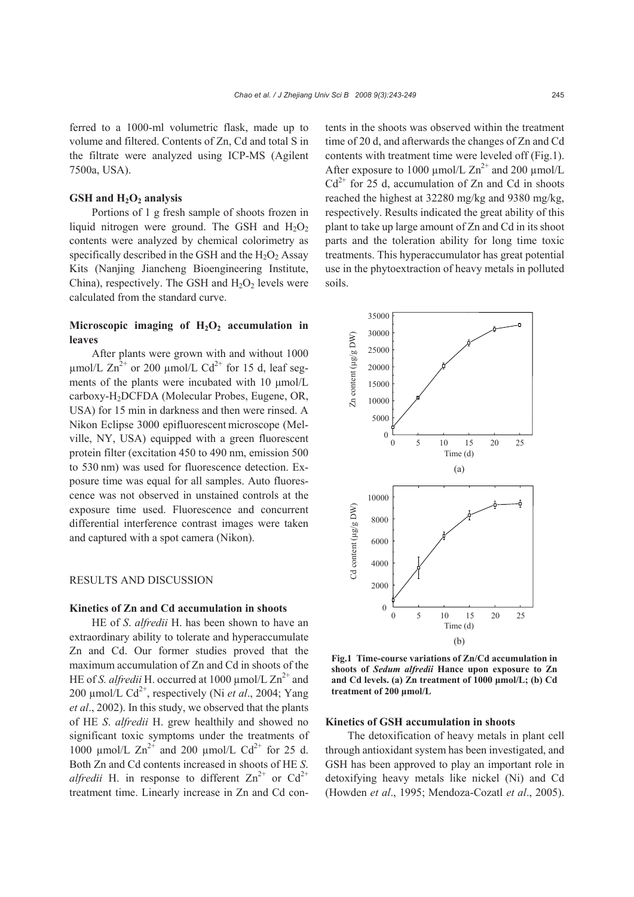ferred to a 1000-ml volumetric flask, made up to volume and filtered. Contents of Zn, Cd and total S in the filtrate were analyzed using ICP-MS (Agilent 7500a, USA).

# GSH and  $H_2O_2$  analysis

Portions of 1 g fresh sample of shoots frozen in liquid nitrogen were ground. The GSH and  $H_2O_2$ contents were analyzed by chemical colorimetry as specifically described in the GSH and the  $H_2O_2$  Assay Kits (Nanjing Jiancheng Bioengineering Institute, China), respectively. The GSH and  $H_2O_2$  levels were calculated from the standard curve.

# Microscopic imaging of  $H_2O_2$  accumulation in **leaves**

After plants were grown with and without 1000 umol/L  $\text{Zn}^2$  or 200 umol/L  $\text{Cd}^{2+}$  for 15 d, leaf segments of the plants were incubated with 10 μmol/L carboxy-H2DCFDA (Molecular Probes, Eugene, OR, USA) for 15 min in darkness and then were rinsed. A Nikon Eclipse 3000 epifluorescent microscope (Melville, NY, USA) equipped with a green fluorescent protein filter (excitation 450 to 490 nm, emission 500 to 530 nm) was used for fluorescence detection. Exposure time was equal for all samples. Auto fluorescence was not observed in unstained controls at the exposure time used. Fluorescence and concurrent differential interference contrast images were taken and captured with a spot camera (Nikon).

## RESULTS AND DISCUSSION

#### **Kinetics of Zn and Cd accumulation in shoots**

HE of *S*. *alfredii* H. has been shown to have an extraordinary ability to tolerate and hyperaccumulate Zn and Cd. Our former studies proved that the maximum accumulation of Zn and Cd in shoots of the HE of *S. alfredii* H. occurred at 1000  $\mu$ mol/L  $\text{Zn}^{2+}$  and 200  $\mu$ mol/L Cd<sup>2+</sup>, respectively (Ni *et al.*, 2004; Yang *et al*., 2002). In this study, we observed that the plants of HE *S*. *alfredii* H. grew healthily and showed no significant toxic symptoms under the treatments of 1000  $\mu$ mol/L  $\text{Zn}^{2+}$  and 200  $\mu$ mol/L Cd<sup>2+</sup> for 25 d. Both Zn and Cd contents increased in shoots of HE *S*. *alfredii* H. in response to different  $Zn^{2+}$  or  $Cd^{2+}$ treatment time. Linearly increase in Zn and Cd contents in the shoots was observed within the treatment time of 20 d, and afterwards the changes of Zn and Cd contents with treatment time were leveled off (Fig.1). After exposure to 1000  $\mu$ mol/L Zn<sup>2+</sup> and 200  $\mu$ mol/L  $Cd^{2+}$  for 25 d, accumulation of Zn and Cd in shoots reached the highest at 32280 mg/kg and 9380 mg/kg, respectively. Results indicated the great ability of this plant to take up large amount of Zn and Cd in its shoot parts and the toleration ability for long time toxic treatments. This hyperaccumulator has great potential use in the phytoextraction of heavy metals in polluted soils.



**Fig.1 Time-course variations of Zn/Cd accumulation in shoots of** *Sedum alfredii* **Hance upon exposure to Zn and Cd levels. (a) Zn treatment of 1000 μmol/L; (b) Cd treatment of 200 μmol/L** 

# **Kinetics of GSH accumulation in shoots**

The detoxification of heavy metals in plant cell through antioxidant system has been investigated, and GSH has been approved to play an important role in detoxifying heavy metals like nickel (Ni) and Cd (Howden *et al*., 1995; Mendoza-Cozatl *et al*., 2005).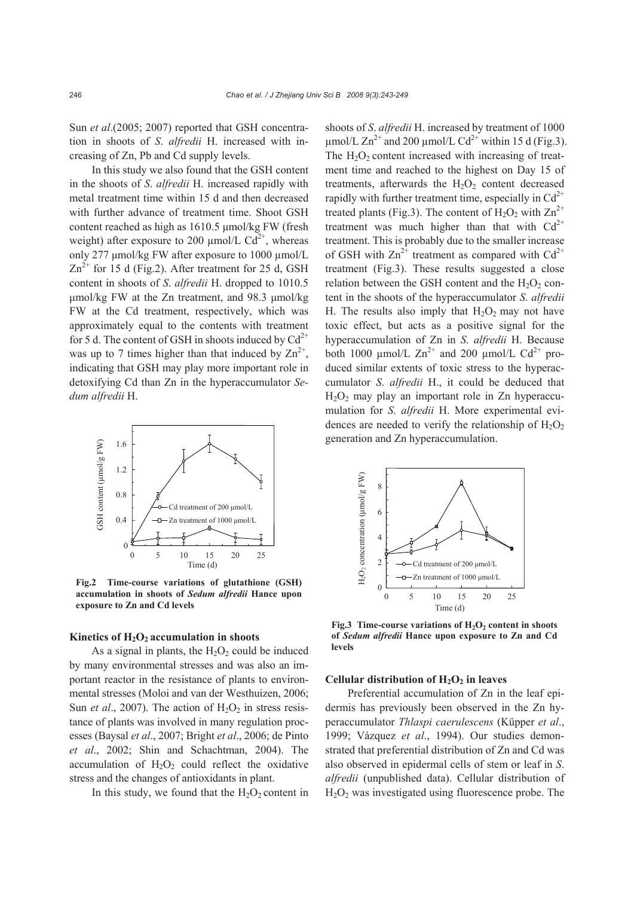Sun *et al.*(2005; 2007) reported that GSH concentration in shoots of *S*. *alfredii* H. increased with increasing of Zn, Pb and Cd supply levels.

In this study we also found that the GSH content in the shoots of *S*. *alfredii* H. increased rapidly with metal treatment time within 15 d and then decreased with further advance of treatment time. Shoot GSH content reached as high as 1610.5 μmol/kg FW (fresh weight) after exposure to 200  $\mu$ mol/L Cd<sup>2+</sup>, whereas only 277 μmol/kg FW after exposure to 1000 µmol/L  $\text{Zn}^{2+}$  for 15 d (Fig.2). After treatment for 25 d, GSH content in shoots of *S*. *alfredii* H. dropped to 1010.5 μmol/kg FW at the Zn treatment, and 98.3 μmol/kg FW at the Cd treatment, respectively, which was approximately equal to the contents with treatment for 5 d. The content of GSH in shoots induced by  $Cd^{2+}$ was up to 7 times higher than that induced by  $\text{Zn}^{2+}$ , indicating that GSH may play more important role in detoxifying Cd than Zn in the hyperaccumulator *Sedum alfredii* H.



**Fig.2 Time-course variations of glutathione (GSH) accumulation in shoots of** *Sedum alfredii* **Hance upon exposure to Zn and Cd levels**

#### Kinetics of H<sub>2</sub>O<sub>2</sub> accumulation in shoots

As a signal in plants, the  $H_2O_2$  could be induced by many environmental stresses and was also an important reactor in the resistance of plants to environmental stresses (Moloi and van der Westhuizen, 2006; Sun *et al.*, 2007). The action of  $H_2O_2$  in stress resistance of plants was involved in many regulation processes (Baysal *et al*., 2007; Bright *et al*., 2006; de Pinto *et al*., 2002; Shin and Schachtman, 2004). The accumulation of  $H_2O_2$  could reflect the oxidative stress and the changes of antioxidants in plant.

In this study, we found that the  $H_2O_2$  content in

shoots of *S*. *alfredii* H. increased by treatment of 1000  $\mu$ mol/L Zn<sup>2+</sup> and 200  $\mu$ mol/L Cd<sup>2+</sup> within 15 d (Fig.3). The  $H_2O_2$  content increased with increasing of treatment time and reached to the highest on Day 15 of treatments, afterwards the  $H_2O_2$  content decreased rapidly with further treatment time, especially in  $Cd^{2+}$ treated plants (Fig.3). The content of  $H_2O_2$  with  $Zn^{2+}$ treatment was much higher than that with  $Cd^{2+}$ treatment. This is probably due to the smaller increase of GSH with  $\text{Zn}^{2+}$  treatment as compared with  $\text{Cd}^{2+}$ treatment (Fig.3). These results suggested a close relation between the GSH content and the  $H_2O_2$  content in the shoots of the hyperaccumulator *S*. *alfredii*  H. The results also imply that  $H_2O_2$  may not have toxic effect, but acts as a positive signal for the hyperaccumulation of Zn in *S*. *alfredii* H. Because both 1000  $\mu$ mol/L  $\text{Zn}^{2+}$  and 200  $\mu$ mol/L  $\text{Cd}^{2+}$  produced similar extents of toxic stress to the hyperaccumulator *S*. *alfredii* H., it could be deduced that  $H<sub>2</sub>O<sub>2</sub>$  may play an important role in Zn hyperaccumulation for *S*. *alfredii* H. More experimental evidences are needed to verify the relationship of  $H_2O_2$ generation and Zn hyperaccumulation.



Fig.3 Time-course variations of H<sub>2</sub>O<sub>2</sub> content in shoots **of** *Sedum alfredii* **Hance upon exposure to Zn and Cd levels**

#### Cellular distribution of H<sub>2</sub>O<sub>2</sub> in leaves

Preferential accumulation of Zn in the leaf epidermis has previously been observed in the Zn hyperaccumulator *Thlaspi caerulescens* (Küpper *et al*., 1999; Vázquez *et al*., 1994). Our studies demonstrated that preferential distribution of Zn and Cd was also observed in epidermal cells of stem or leaf in *S*. *alfredii* (unpublished data). Cellular distribution of  $H<sub>2</sub>O<sub>2</sub>$  was investigated using fluorescence probe. The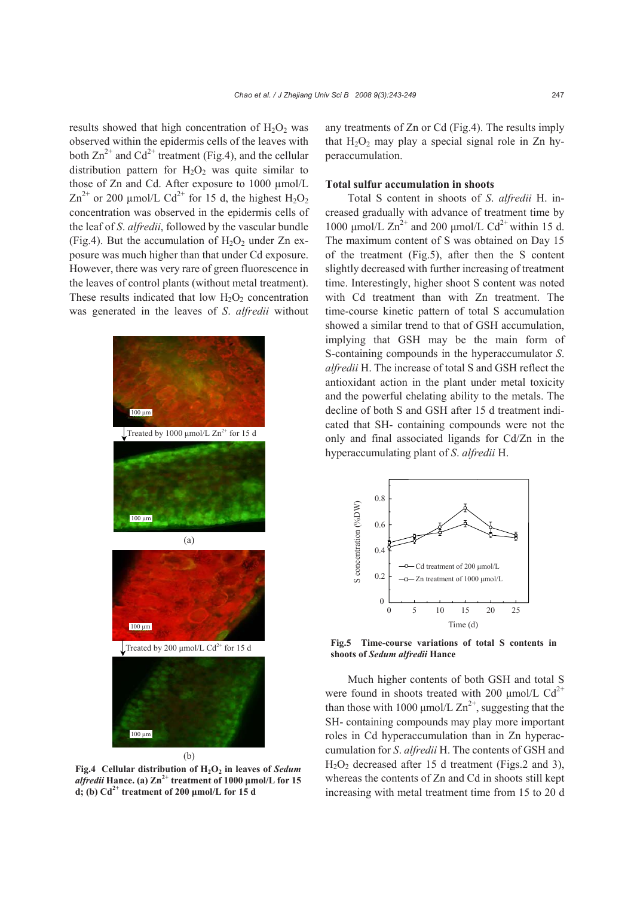results showed that high concentration of  $H_2O_2$  was observed within the epidermis cells of the leaves with both  $\text{Zn}^{2+}$  and  $\text{Cd}^{2+}$  treatment (Fig.4), and the cellular distribution pattern for  $H_2O_2$  was quite similar to those of Zn and Cd. After exposure to 1000 µmol/L  $\text{Zn}^{2+}$  or 200 µmol/L Cd<sup>2+</sup> for 15 d, the highest H<sub>2</sub>O<sub>2</sub> concentration was observed in the epidermis cells of the leaf of *S*. *alfredii*, followed by the vascular bundle (Fig.4). But the accumulation of  $H_2O_2$  under Zn exposure was much higher than that under Cd exposure. However, there was very rare of green fluorescence in the leaves of control plants (without metal treatment). These results indicated that low  $H_2O_2$  concentration was generated in the leaves of *S*. *alfredii* without



Fig.4 Cellular distribution of  $H_2O_2$  in leaves of *Sedum*  $a$ *lfredii* **Hance.** (a)  $\text{Zn}^{2+}$  treatment of 1000  $\mu$ mol/L for 15 **d; (b) Cd2+ treatment of 200 μmol/L for 15 d**

any treatments of Zn or Cd (Fig.4). The results imply that  $H_2O_2$  may play a special signal role in Zn hyperaccumulation.

# **Total sulfur accumulation in shoots**

Total S content in shoots of *S*. *alfredii* H. increased gradually with advance of treatment time by 1000 μmol/L  $Zn^{2+}$  and 200 μmol/L Cd<sup>2+</sup> within 15 d. The maximum content of S was obtained on Day 15 of the treatment (Fig.5), after then the S content slightly decreased with further increasing of treatment time. Interestingly, higher shoot S content was noted with Cd treatment than with Zn treatment. The time-course kinetic pattern of total S accumulation showed a similar trend to that of GSH accumulation, implying that GSH may be the main form of S-containing compounds in the hyperaccumulator *S*. *alfredii* H. The increase of total S and GSH reflect the antioxidant action in the plant under metal toxicity and the powerful chelating ability to the metals. The decline of both S and GSH after 15 d treatment indicated that SH- containing compounds were not the only and final associated ligands for Cd/Zn in the hyperaccumulating plant of *S*. *alfredii* H.



**Fig.5 Time-course variations of total S contents in shoots of** *Sedum alfredii* **Hance**

Much higher contents of both GSH and total S were found in shoots treated with 200  $\mu$ mol/L Cd<sup>2+</sup> than those with 1000  $\mu$ mol/L Zn<sup>2+</sup>, suggesting that the SH- containing compounds may play more important roles in Cd hyperaccumulation than in Zn hyperaccumulation for *S*. *alfredii* H. The contents of GSH and  $H<sub>2</sub>O<sub>2</sub>$  decreased after 15 d treatment (Figs.2 and 3), whereas the contents of Zn and Cd in shoots still kept increasing with metal treatment time from 15 to 20 d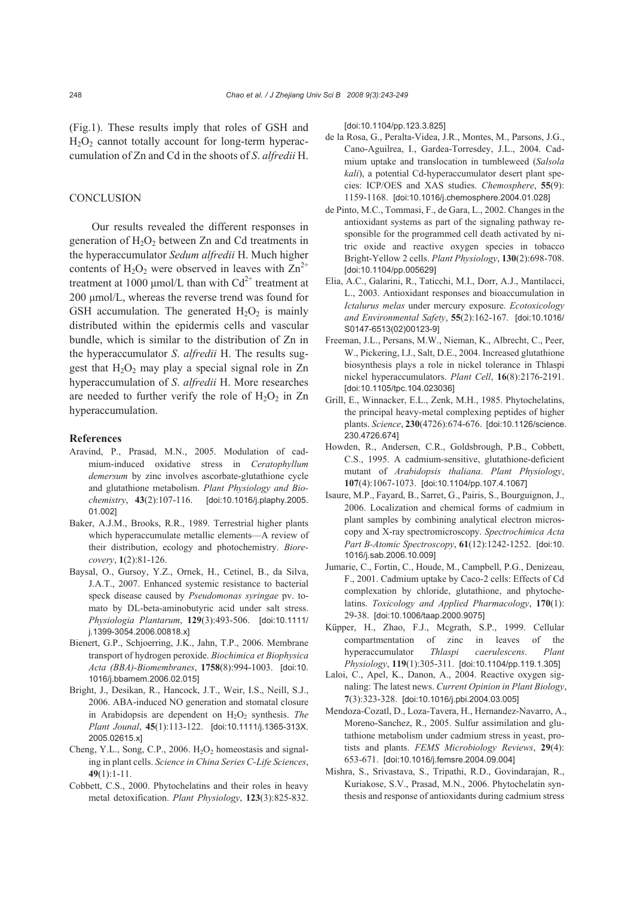(Fig.1). These results imply that roles of GSH and  $H<sub>2</sub>O<sub>2</sub>$  cannot totally account for long-term hyperaccumulation of Zn and Cd in the shoots of *S*. *alfredii* H.

# **CONCLUSION**

Our results revealed the different responses in generation of  $H_2O_2$  between Zn and Cd treatments in the hyperaccumulator *Sedum alfredii* H. Much higher contents of H<sub>2</sub>O<sub>2</sub> were observed in leaves with  $\text{Zn}^{2+}$ treatment at 1000 µmol/L than with  $Cd^{2+}$  treatment at 200 μmol/L, whereas the reverse trend was found for GSH accumulation. The generated  $H_2O_2$  is mainly distributed within the epidermis cells and vascular bundle, which is similar to the distribution of Zn in the hyperaccumulator *S*. *alfredii* H. The results suggest that  $H_2O_2$  may play a special signal role in Zn hyperaccumulation of *S*. *alfredii* H. More researches are needed to further verify the role of  $H_2O_2$  in Zn hyperaccumulation.

#### **References**

- Aravind, P., Prasad, M.N., 2005. Modulation of cadmium-induced oxidative stress in *Ceratophyllum demersum* by zinc involves ascorbate-glutathione cycle and glutathione metabolism. *Plant Physiology and Biochemistry*, **43**(2):107-116. [doi:10.1016/j.plaphy.2005. 01.002]
- Baker, A.J.M., Brooks, R.R., 1989. Terrestrial higher plants which hyperaccumulate metallic elements—A review of their distribution, ecology and photochemistry. *Biorecovery*, **1**(2):81-126.
- Baysal, O., Gursoy, Y.Z., Ornek, H., Cetinel, B., da Silva, J.A.T., 2007. Enhanced systemic resistance to bacterial speck disease caused by *Pseudomonas syringae* pv. tomato by DL-beta-aminobutyric acid under salt stress. *Physiologia Plantarum*, **129**(3):493-506. [doi:10.1111/ j.1399-3054.2006.00818.x]
- Bienert, G.P., Schjoerring, J.K., Jahn, T.P., 2006. Membrane transport of hydrogen peroxide. *Biochimica et Biophysica Acta (BBA)-Biomembranes*, **1758**(8):994-1003. [doi:10. 1016/j.bbamem.2006.02.015]
- Bright, J., Desikan, R., Hancock, J.T., Weir, I.S., Neill, S.J., 2006. ABA-induced NO generation and stomatal closure in Arabidopsis are dependent on H<sub>2</sub>O<sub>2</sub> synthesis. *The Plant Jounal*, **45**(1):113-122. [doi:10.1111/j.1365-313X. 2005.02615.x]
- Cheng, Y.L., Song, C.P., 2006.  $H<sub>2</sub>O<sub>2</sub>$  homeostasis and signaling in plant cells. *Science in China Series C-Life Sciences*, **49**(1):1-11.
- Cobbett, C.S., 2000. Phytochelatins and their roles in heavy metal detoxification. *Plant Physiology*, **123**(3):825-832.

[doi:10.1104/pp.123.3.825]

- de la Rosa, G., Peralta-Videa, J.R., Montes, M., Parsons, J.G., Cano-Aguilrea, I., Gardea-Torresdey, J.L., 2004. Cadmium uptake and translocation in tumbleweed (*Salsola kali*), a potential Cd-hyperaccumulator desert plant species: ICP/OES and XAS studies. *Chemosphere*, **55**(9): 1159-1168. [doi:10.1016/j.chemosphere.2004.01.028]
- de Pinto, M.C., Tommasi, F., de Gara, L., 2002. Changes in the antioxidant systems as part of the signaling pathway responsible for the programmed cell death activated by nitric oxide and reactive oxygen species in tobacco Bright-Yellow 2 cells. *Plant Physiology*, **130**(2):698-708. [doi:10.1104/pp.005629]
- Elia, A.C., Galarini, R., Taticchi, M.I., Dorr, A.J., Mantilacci, L., 2003. Antioxidant responses and bioaccumulation in *Ictalurus melas* under mercury exposure. *Ecotoxicology and Environmental Safety*, **55**(2):162-167. [doi:10.1016/ S0147-6513(02)00123-9]
- Freeman, J.L., Persans, M.W., Nieman, K., Albrecht, C., Peer, W., Pickering, I.J., Salt, D.E., 2004. Increased glutathione biosynthesis plays a role in nickel tolerance in Thlaspi nickel hyperaccumulators. *Plant Cell*, **16**(8):2176-2191. [doi:10.1105/tpc.104.023036]
- Grill, E., Winnacker, E.L., Zenk, M.H., 1985. Phytochelatins, the principal heavy-metal complexing peptides of higher plants. *Science*, **230**(4726):674-676. [doi:10.1126/science. 230.4726.674]
- Howden, R., Andersen, C.R., Goldsbrough, P.B., Cobbett, C.S., 1995. A cadmium-sensitive, glutathione-deficient mutant of *Arabidopsis thaliana*. *Plant Physiology*, **107**(4):1067-1073. [doi:10.1104/pp.107.4.1067]
- Isaure, M.P., Fayard, B., Sarret, G., Pairis, S., Bourguignon, J., 2006. Localization and chemical forms of cadmium in plant samples by combining analytical electron microscopy and X-ray spectromicroscopy. *Spectrochimica Acta Part B-Atomic Spectroscopy*, **61**(12):1242-1252. [doi:10. 1016/j.sab.2006.10.009]
- Jumarie, C., Fortin, C., Houde, M., Campbell, P.G., Denizeau, F., 2001. Cadmium uptake by Caco-2 cells: Effects of Cd complexation by chloride, glutathione, and phytochelatins. *Toxicology and Applied Pharmacology*, **170**(1): 29-38. [doi:10.1006/taap.2000.9075]
- Küpper, H., Zhao, F.J., Mcgrath, S.P., 1999. Cellular compartmentation of zinc in leaves of the hyperaccumulator *Thlaspi caerulescens*. *Plant Physiology*, **119**(1):305-311. [doi:10.1104/pp.119.1.305]
- Laloi, C., Apel, K., Danon, A., 2004. Reactive oxygen signaling: The latest news. *Current Opinion in Plant Biology*, **7**(3):323-328. [doi:10.1016/j.pbi.2004.03.005]
- Mendoza-Cozatl, D., Loza-Tavera, H., Hernandez-Navarro, A., Moreno-Sanchez, R., 2005. Sulfur assimilation and glutathione metabolism under cadmium stress in yeast, protists and plants. *FEMS Microbiology Reviews*, **29**(4): 653-671. [doi:10.1016/j.femsre.2004.09.004]
- Mishra, S., Srivastava, S., Tripathi, R.D., Govindarajan, R., Kuriakose, S.V., Prasad, M.N., 2006. Phytochelatin synthesis and response of antioxidants during cadmium stress